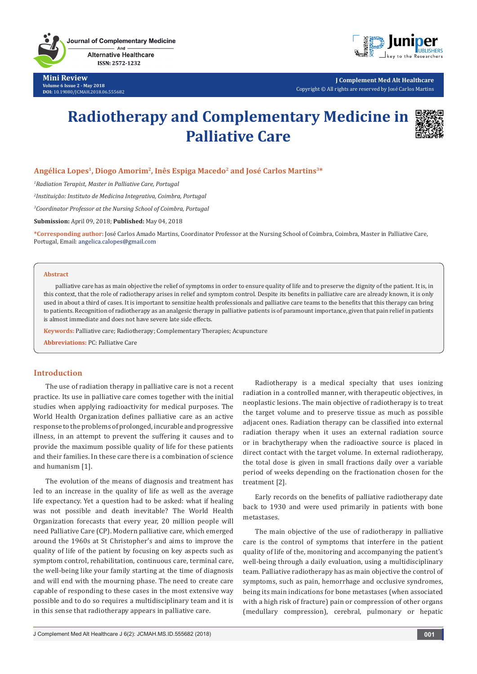**Journal of Complementary Medicine** And **Alternative Healthcare** 

ISSN: 2572-1232

**Mini Review Volume 6 Issue 2 - May 2018 DOI:** [10.19080/JCMAH.2018.06.555682](http://dx.doi.org/10.19080/JCMAH.2018.06.555682)



**J Complement Med Alt Healthcare** Copyright © All rights are reserved by José Carlos Martins

# **Radiotherapy and Complementary Medicine in Palliative Care**



## **Angélica Lopes1, Diogo Amorim2, Inês Espiga Macedo2 and José Carlos Martins3\***

*1 Radiation Terapist, Master in Palliative Care, Portugal*

*2 Instituição: Instituto de Medicina Integrativa, Coimbra, Portugal*

*3 Coordinator Professor at the Nursing School of Coimbra, Portugal*

**Submission:** April 09, 2018; **Published:** May 04, 2018

**\*Corresponding author:** José Carlos Amado Martins, Coordinator Professor at the Nursing School of Coimbra, Coimbra, Master in Palliative Care, Portugal, Email: angelica.calopes@gmail.com

#### **Abstract**

palliative care has as main objective the relief of symptoms in order to ensure quality of life and to preserve the dignity of the patient. It is, in this context, that the role of radiotherapy arises in relief and symptom control. Despite its benefits in palliative care are already known, it is only used in about a third of cases. It is important to sensitize health professionals and palliative care teams to the benefits that this therapy can bring to patients. Recognition of radiotherapy as an analgesic therapy in palliative patients is of paramount importance, given that pain relief in patients is almost immediate and does not have severe late side effects.

**Keywords:** Palliative care; Radiotherapy; Complementary Therapies; Acupuncture

**Abbreviations:** PC: Palliative Care

## **Introduction**

The use of radiation therapy in palliative care is not a recent practice. Its use in palliative care comes together with the initial studies when applying radioactivity for medical purposes. The World Health Organization defines palliative care as an active response to the problems of prolonged, incurable and progressive illness, in an attempt to prevent the suffering it causes and to provide the maximum possible quality of life for these patients and their families. In these care there is a combination of science and humanism [1].

The evolution of the means of diagnosis and treatment has led to an increase in the quality of life as well as the average life expectancy. Yet a question had to be asked: what if healing was not possible and death inevitable? The World Health Organization forecasts that every year, 20 million people will need Palliative Care (CP). Modern palliative care, which emerged around the 1960s at St Christopher's and aims to improve the quality of life of the patient by focusing on key aspects such as symptom control, rehabilitation, continuous care, terminal care, the well-being like your family starting at the time of diagnosis and will end with the mourning phase. The need to create care capable of responding to these cases in the most extensive way possible and to do so requires a multidisciplinary team and it is in this sense that radiotherapy appears in palliative care.

Radiotherapy is a medical specialty that uses ionizing radiation in a controlled manner, with therapeutic objectives, in neoplastic lesions. The main objective of radiotherapy is to treat the target volume and to preserve tissue as much as possible adjacent ones. Radiation therapy can be classified into external radiation therapy when it uses an external radiation source or in brachytherapy when the radioactive source is placed in direct contact with the target volume. In external radiotherapy, the total dose is given in small fractions daily over a variable period of weeks depending on the fractionation chosen for the treatment [2].

Early records on the benefits of palliative radiotherapy date back to 1930 and were used primarily in patients with bone metastases.

The main objective of the use of radiotherapy in palliative care is the control of symptoms that interfere in the patient quality of life of the, monitoring and accompanying the patient's well-being through a daily evaluation, using a multidisciplinary team. Palliative radiotherapy has as main objective the control of symptoms, such as pain, hemorrhage and occlusive syndromes, being its main indications for bone metastases (when associated with a high risk of fracture) pain or compression of other organs (medullary compression), cerebral, pulmonary or hepatic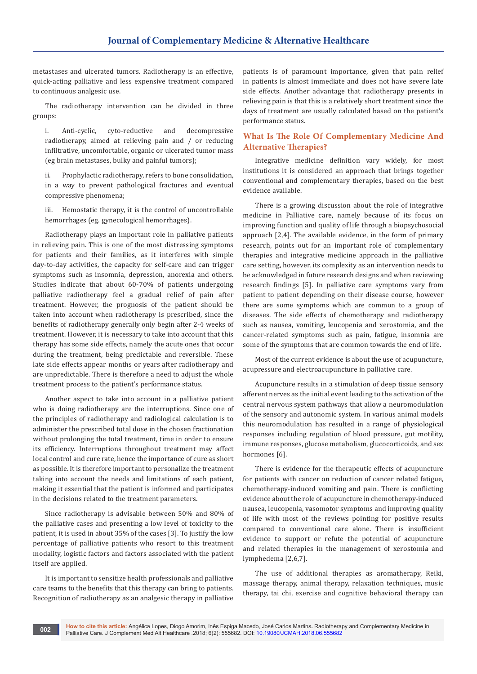metastases and ulcerated tumors. Radiotherapy is an effective, quick-acting palliative and less expensive treatment compared to continuous analgesic use.

The radiotherapy intervention can be divided in three groups:

i. Anti-cyclic, cyto-reductive and decompressive radiotherapy, aimed at relieving pain and / or reducing infiltrative, uncomfortable, organic or ulcerated tumor mass (eg brain metastases, bulky and painful tumors);

ii. Prophylactic radiotherapy, refers to bone consolidation, in a way to prevent pathological fractures and eventual compressive phenomena;

iii. Hemostatic therapy, it is the control of uncontrollable hemorrhages (eg. gynecological hemorrhages).

Radiotherapy plays an important role in palliative patients in relieving pain. This is one of the most distressing symptoms for patients and their families, as it interferes with simple day-to-day activities, the capacity for self-care and can trigger symptoms such as insomnia, depression, anorexia and others. Studies indicate that about 60-70% of patients undergoing palliative radiotherapy feel a gradual relief of pain after treatment. However, the prognosis of the patient should be taken into account when radiotherapy is prescribed, since the benefits of radiotherapy generally only begin after 2-4 weeks of treatment. However, it is necessary to take into account that this therapy has some side effects, namely the acute ones that occur during the treatment, being predictable and reversible. These late side effects appear months or years after radiotherapy and are unpredictable. There is therefore a need to adjust the whole treatment process to the patient's performance status.

Another aspect to take into account in a palliative patient who is doing radiotherapy are the interruptions. Since one of the principles of radiotherapy and radiological calculation is to administer the prescribed total dose in the chosen fractionation without prolonging the total treatment, time in order to ensure its efficiency. Interruptions throughout treatment may affect local control and cure rate, hence the importance of cure as short as possible. It is therefore important to personalize the treatment taking into account the needs and limitations of each patient, making it essential that the patient is informed and participates in the decisions related to the treatment parameters.

Since radiotherapy is advisable between 50% and 80% of the palliative cases and presenting a low level of toxicity to the patient, it is used in about 35% of the cases [3]. To justify the low percentage of palliative patients who resort to this treatment modality, logistic factors and factors associated with the patient itself are applied.

It is important to sensitize health professionals and palliative care teams to the benefits that this therapy can bring to patients. Recognition of radiotherapy as an analgesic therapy in palliative

patients is of paramount importance, given that pain relief in patients is almost immediate and does not have severe late side effects. Another advantage that radiotherapy presents in relieving pain is that this is a relatively short treatment since the days of treatment are usually calculated based on the patient's performance status.

## **What Is The Role Of Complementary Medicine And Alternative Therapies?**

Integrative medicine definition vary widely, for most institutions it is considered an approach that brings together conventional and complementary therapies, based on the best evidence available.

There is a growing discussion about the role of integrative medicine in Palliative care, namely because of its focus on improving function and quality of life through a biopsychosocial approach [2,4]. The available evidence, in the form of primary research, points out for an important role of complementary therapies and integrative medicine approach in the palliative care setting, however, its complexity as an intervention needs to be acknowledged in future research designs and when reviewing research findings [5]. In palliative care symptoms vary from patient to patient depending on their disease course, however there are some symptoms which are common to a group of diseases. The side effects of chemotherapy and radiotherapy such as nausea, vomiting, leucopenia and xerostomia, and the cancer-related symptoms such as pain, fatigue, insomnia are some of the symptoms that are common towards the end of life.

Most of the current evidence is about the use of acupuncture, acupressure and electroacupuncture in palliative care.

Acupuncture results in a stimulation of deep tissue sensory afferent nerves as the initial event leading to the activation of the central nervous system pathways that allow a neuromodulation of the sensory and autonomic system. In various animal models this neuromodulation has resulted in a range of physiological responses including regulation of blood pressure, gut motility, immune responses, glucose metabolism, glucocorticoids, and sex hormones [6].

There is evidence for the therapeutic effects of acupuncture for patients with cancer on reduction of cancer related fatigue, chemotherapy-induced vomiting and pain. There is conflicting evidence about the role of acupuncture in chemotherapy-induced nausea, leucopenia, vasomotor symptoms and improving quality of life with most of the reviews pointing for positive results compared to conventional care alone. There is insufficient evidence to support or refute the potential of acupuncture and related therapies in the management of xerostomia and lymphedema [2,6,7].

The use of additional therapies as aromatherapy, Reiki, massage therapy, animal therapy, relaxation techniques, music therapy, tai chi, exercise and cognitive behavioral therapy can